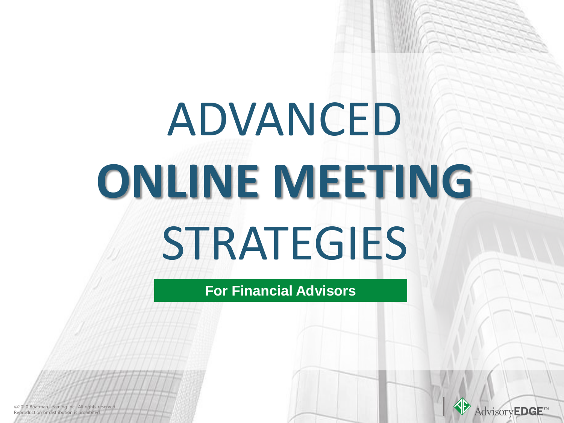# ADVANCED **ONLINE MEETING STRATEGIES**

### **For Financial Advisors**



©2020 Boatman Learning Inc. All rights reserved. ©2020 Boatman Learning Inc. All rights reserved. Reproduction or distribution is prohibited. Reproduction or distribution is prohibited.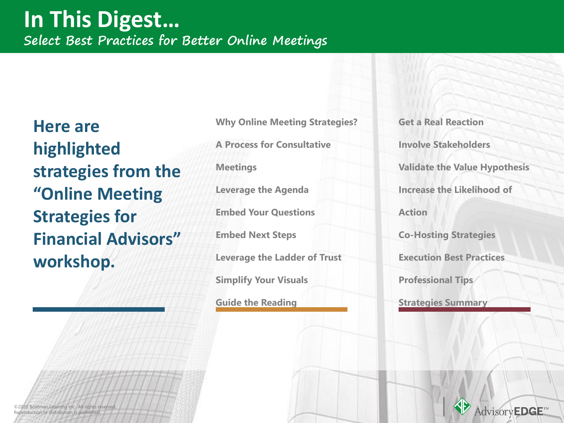**Here are highlighted strategies from the "Online Meeting Strategies for Financial Advisors" workshop.** 

**Why Online Meeting Strategies?** 

**A Process for Consultative** 

**Meetings** 

**Leverage the Agenda**

**Embed Your Questions**

**Embed Next Steps**

**Leverage the Ladder of Trust**

**Simplify Your Visuals**

**Guide the Reading**

**Get a Real Reaction Involve Stakeholders Validate the Value Hypothesis Increase the Likelihood of Action Co-Hosting Strategies Execution Best Practices Professional Tips** 

**Strategies Summary**



©2020 Boatman Learning Inc. All rights reserved. ©2020 Boatman Learning Inc. All rights reserved. Reproduction or distribution is prohibited. Reproduction or distribution is prohibited.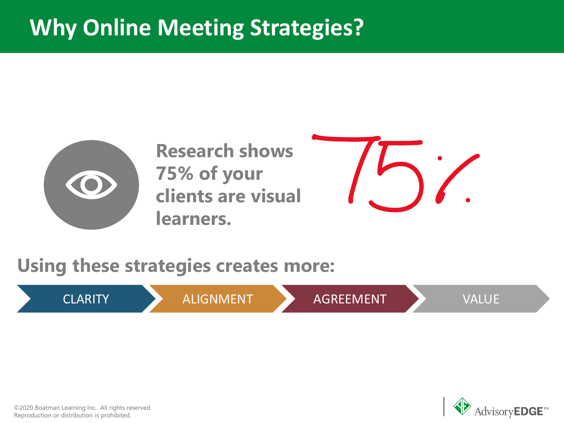## **Why Online Meeting Strategies?**



**Research shows 75% of your clients are visual learners.**



**Using these strategies creates more:**

CLARITY ALIGNMENT AGREEMENT VALUE



©2020 Boatman Learning Inc. All rights reserved. Reproduction or distribution is prohibited.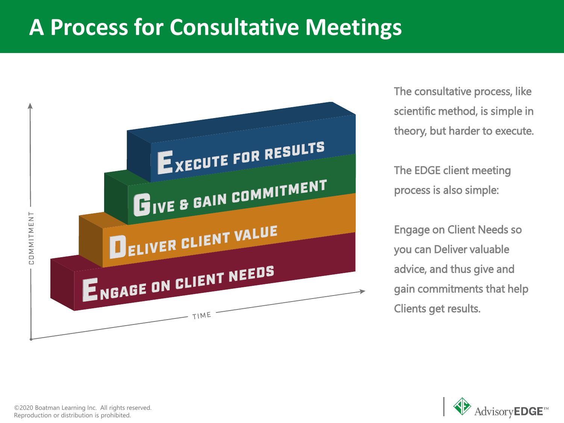### **A Process for Consultative Meetings**



The consultative process, like scientific method, is simple in theory, but harder to execute.

The EDGE client meeting process is also simple:

Engage on Client Needs so you can Deliver valuable advice, and thus give and gain commitments that help Clients get results.



©2020 Boatman Learning Inc. All rights reserved. Reproduction or distribution is prohibited.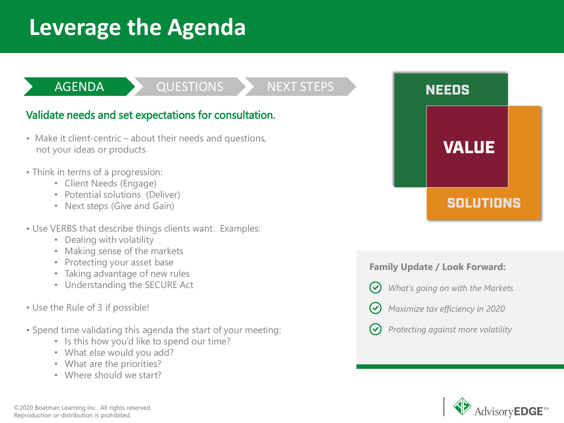### **Leverage the Agenda**

#### AGENDA QUESTIONS NEXT STEPS

### Validate needs and set expectations for consultation.

- Make it client-centric about their needs and questions, not your ideas or products
- Think in terms of a progression:
	- Client Needs (Engage)
	- Potential solutions (Deliver)
	- Next steps (Give and Gain)
- Use VERBS that describe things clients want. Examples:
	- Dealing with volatility
	- Making sense of the markets
	- Protecting your asset base
	- Taking advantage of new rules
	- Understanding the SECURE Act
- Use the Rule of 3 if possible!
- Spend time validating this agenda the start of your meeting:
	- Is this how you'd like to spend our time?
	- What else would you add?
	- What are the priorities?
	- Where should we start?

**VALUE SOLUTIONS** 

**NEEDS** 

#### **Family Update / Look Forward:**

- *What's going on with the Markets*  $(\checkmark)$ 
	- *Maximize tax efficiency in 2020*

*Protecting against more volatility*

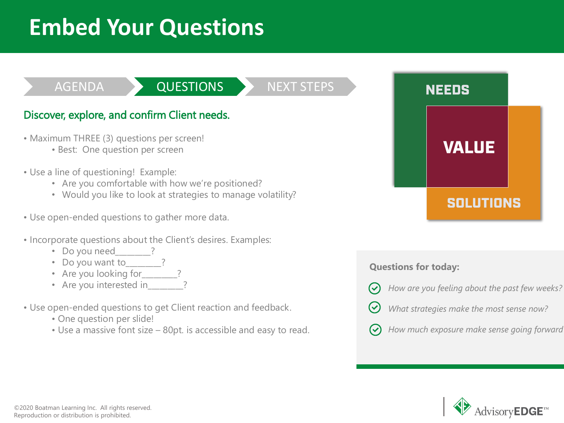### **Embed Your Questions**

### AGENDA QUESTIONS NEXT STEPS

### Discover, explore, and confirm Client needs.

- Maximum THREE (3) questions per screen!
	- Best: One question per screen
- Use a line of questioning! Example:
	- Are you comfortable with how we're positioned?
	- Would you like to look at strategies to manage volatility?
- Use open-ended questions to gather more data.
- Incorporate questions about the Client's desires. Examples:
	- Do you need
	- Do you want to ?
	- Are you looking for
	- Are you interested in
- Use open-ended questions to get Client reaction and feedback.
	- One question per slide!
	- Use a massive font size 80pt. is accessible and easy to read.



#### **Questions for today:**

- *How are you feeling about the past few weeks?*
- *What strategies make the most sense now?*



*How much exposure make sense going forward?*

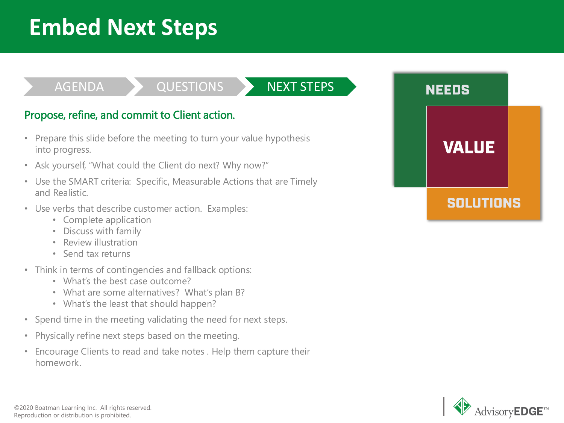## **Embed Next Steps**

### AGENDA > QUESTIONS > NEXT STEPS

#### Propose, refine, and commit to Client action.

- Prepare this slide before the meeting to turn your value hypothesis into progress.
- Ask yourself, "What could the Client do next? Why now?"
- Use the SMART criteria: Specific, Measurable Actions that are Timely and Realistic.
- Use verbs that describe customer action. Examples:
	- Complete application
	- Discuss with family
	- Review illustration
	- Send tax returns
- Think in terms of contingencies and fallback options:
	- What's the best case outcome?
	- What are some alternatives? What's plan B?
	- What's the least that should happen?
- Spend time in the meeting validating the need for next steps.
- Physically refine next steps based on the meeting.
- Encourage Clients to read and take notes . Help them capture their homework.



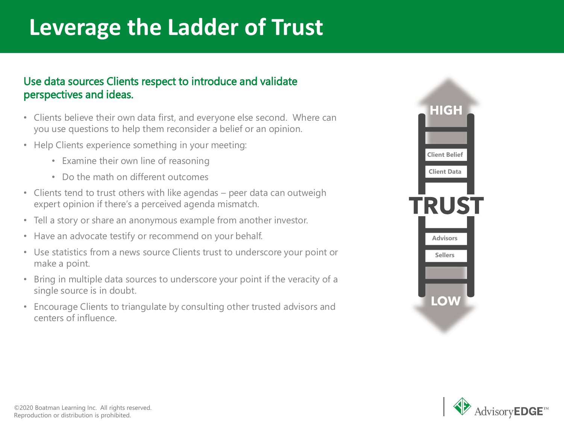## **Leverage the Ladder of Trust**

#### Use data sources Clients respect to introduce and validate perspectives and ideas.

- Clients believe their own data first, and everyone else second. Where can you use questions to help them reconsider a belief or an opinion.
- Help Clients experience something in your meeting:
	- Examine their own line of reasoning
	- Do the math on different outcomes
- Clients tend to trust others with like agendas peer data can outweigh expert opinion if there's a perceived agenda mismatch.
- Tell a story or share an anonymous example from another investor.
- Have an advocate testify or recommend on your behalf.
- Use statistics from a news source Clients trust to underscore your point or make a point.
- Bring in multiple data sources to underscore your point if the veracity of a single source is in doubt.
- Encourage Clients to triangulate by consulting other trusted advisors and centers of influence.



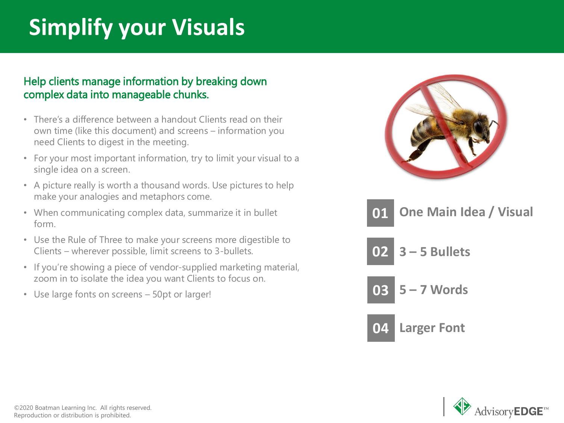## **Simplify your Visuals**

#### Help clients manage information by breaking down complex data into manageable chunks.

- There's a difference between a handout Clients read on their own time (like this document) and screens – information you need Clients to digest in the meeting.
- For your most important information, try to limit your visual to a single idea on a screen.
- A picture really is worth a thousand words. Use pictures to help make your analogies and metaphors come.
- When communicating complex data, summarize it in bullet form.
- Use the Rule of Three to make your screens more digestible to Clients – wherever possible, limit screens to 3-bullets.
- If you're showing a piece of vendor-supplied marketing material, zoom in to isolate the idea you want Clients to focus on.
- Use large fonts on screens 50pt or larger!



- **02 3 – 5 Bullets**
- **03 5 – 7 Words**



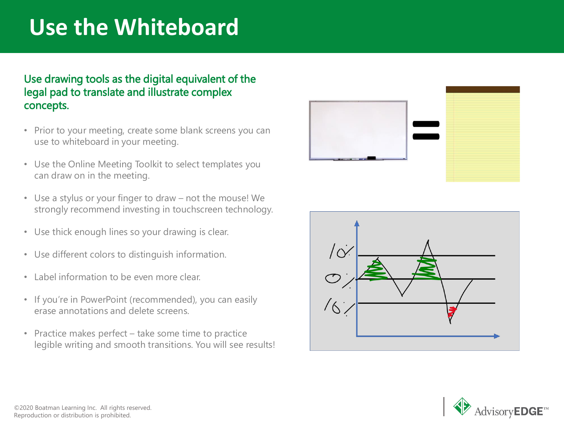### **Use the Whiteboard**

#### Use drawing tools as the digital equivalent of the legal pad to translate and illustrate complex concepts.

- Prior to your meeting, create some blank screens you can use to whiteboard in your meeting.
- Use the Online Meeting Toolkit to select templates you can draw on in the meeting.
- Use a stylus or your finger to draw not the mouse! We strongly recommend investing in touchscreen technology.
- Use thick enough lines so your drawing is clear.
- Use different colors to distinguish information.
- Label information to be even more clear.
- If you're in PowerPoint (recommended), you can easily erase annotations and delete screens.
- Practice makes perfect take some time to practice legible writing and smooth transitions. You will see results!





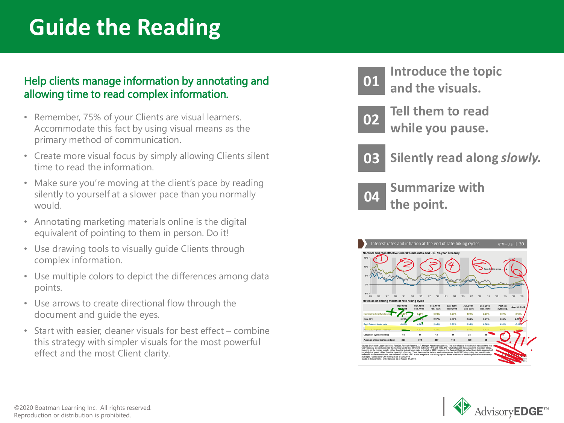## **Guide the Reading**

#### Help clients manage information by annotating and allowing time to read complex information.

- Remember, 75% of your Clients are visual learners. Accommodate this fact by using visual means as the primary method of communication.
- Create more visual focus by simply allowing Clients silent time to read the information.
- Make sure you're moving at the client's pace by reading silently to yourself at a slower pace than you normally would.
- Annotating marketing materials online is the digital equivalent of pointing to them in person. Do it!
- Use drawing tools to visually guide Clients through complex information.
- Use multiple colors to depict the differences among data points.
- Use arrows to create directional flow through the document and guide the eyes.
- Start with easier, cleaner visuals for best effect combine this strategy with simpler visuals for the most powerful effect and the most Client clarity.



**Introduce the topic and the visuals.**



**<sup>02</sup> Tell them to read while you pause.**



**03 Silently read along** *slowly.*

**<sup>04</sup> Summarize with the point.**



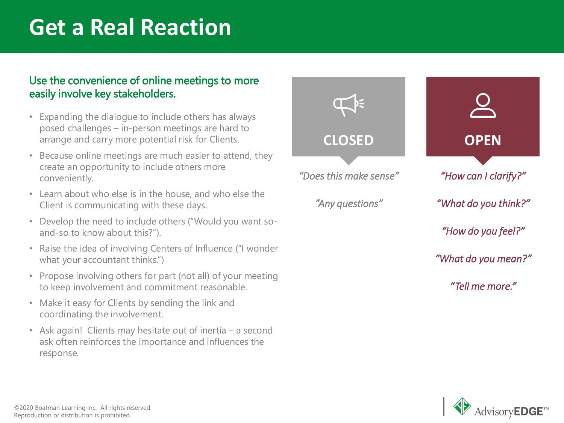### **Get a Real Reaction**

#### Use the convenience of online meetings to more easily involve key stakeholders.

- Expanding the dialogue to include others has always posed challenges – in-person meetings are hard to arrange and carry more potential risk for Clients.
- Because online meetings are much easier to attend, they create an opportunity to include others more conveniently.
- Learn about who else is in the house, and who else the Client is communicating with these days.
- Develop the need to include others ("Would you want soand-so to know about this?").
- Raise the idea of involving Centers of Influence ("I wonder what your accountant thinks.")
- Propose involving others for part (not all) of your meeting to keep involvement and commitment reasonable.
- Make it easy for Clients by sending the link and coordinating the involvement.
- Ask again! Clients may hesitate out of inertia a second ask often reinforces the importance and influences the response.



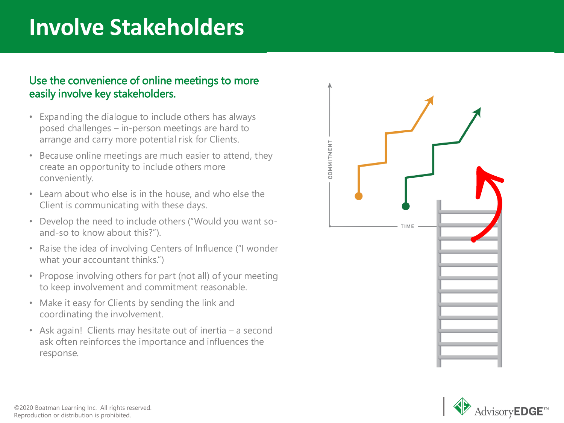### **Involve Stakeholders**

#### Use the convenience of online meetings to more easily involve key stakeholders.

- Expanding the dialogue to include others has always posed challenges – in-person meetings are hard to arrange and carry more potential risk for Clients.
- Because online meetings are much easier to attend, they create an opportunity to include others more conveniently.
- Learn about who else is in the house, and who else the Client is communicating with these days.
- Develop the need to include others ("Would you want soand-so to know about this?").
- Raise the idea of involving Centers of Influence ("I wonder what your accountant thinks.")
- Propose involving others for part (not all) of your meeting to keep involvement and commitment reasonable.
- Make it easy for Clients by sending the link and coordinating the involvement.
- Ask again! Clients may hesitate out of inertia a second ask often reinforces the importance and influences the response.



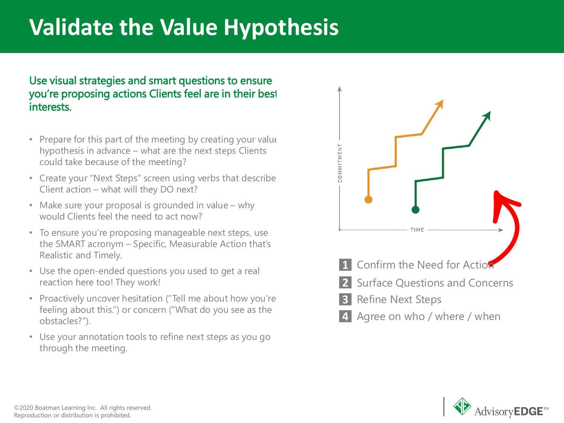## **Validate the Value Hypothesis**

#### Use visual strategies and smart questions to ensure you're proposing actions Clients feel are in their best interests.

- Prepare for this part of the meeting by creating your value hypothesis in advance – what are the next steps Clients could take because of the meeting?
- Create your "Next Steps" screen using verbs that describe Client action – what will they DO next?
- Make sure your proposal is grounded in value why would Clients feel the need to act now?
- To ensure you're proposing manageable next steps, use the SMART acronym – Specific, Measurable Action that's Realistic and Timely.
- Use the open-ended questions you used to get a real reaction here too! They work!
- Proactively uncover hesitation ("Tell me about how you're feeling about this.") or concern ("What do you see as the obstacles?").
- Use your annotation tools to refine next steps as you go through the meeting.



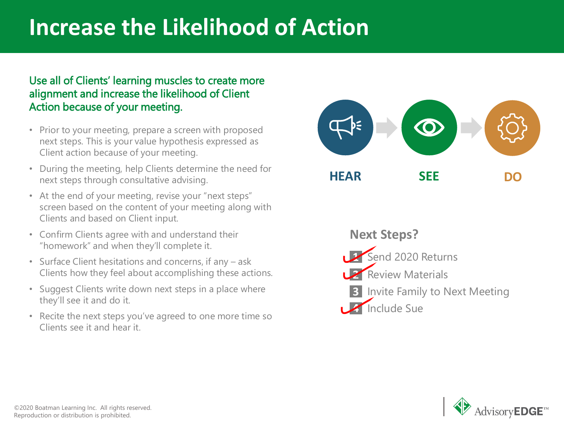### **Increase the Likelihood of Action**

#### Use all of Clients' learning muscles to create more alignment and increase the likelihood of Client Action because of your meeting.

- Prior to your meeting, prepare a screen with proposed next steps. This is your value hypothesis expressed as Client action because of your meeting.
- During the meeting, help Clients determine the need for next steps through consultative advising.
- At the end of your meeting, revise your "next steps" screen based on the content of your meeting along with Clients and based on Client input.
- Confirm Clients agree with and understand their "homework" and when they'll complete it.
- Surface Client hesitations and concerns, if any ask Clients how they feel about accomplishing these actions.
- Suggest Clients write down next steps in a place where they'll see it and do it.
- Recite the next steps you've agreed to one more time so Clients see it and hear it.



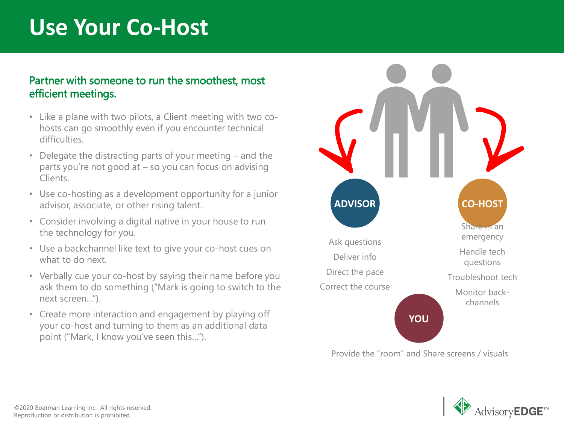### **Use Your Co-Host**

#### Partner with someone to run the smoothest, most efficient meetings.

- Like a plane with two pilots, a Client meeting with two cohosts can go smoothly even if you encounter technical difficulties.
- Delegate the distracting parts of your meeting  $-$  and the parts you're not good at – so you can focus on advising Clients.
- Use co-hosting as a development opportunity for a junior advisor, associate, or other rising talent.
- Consider involving a digital native in your house to run the technology for you.
- Use a backchannel like text to give your co-host cues on what to do next.
- Verbally cue your co-host by saying their name before you ask them to do something ("Mark is going to switch to the next screen…").
- Create more interaction and engagement by playing off your co-host and turning to them as an additional data point ("Mark, I know you've seen this…").



Provide the "room" and Share screens / visuals

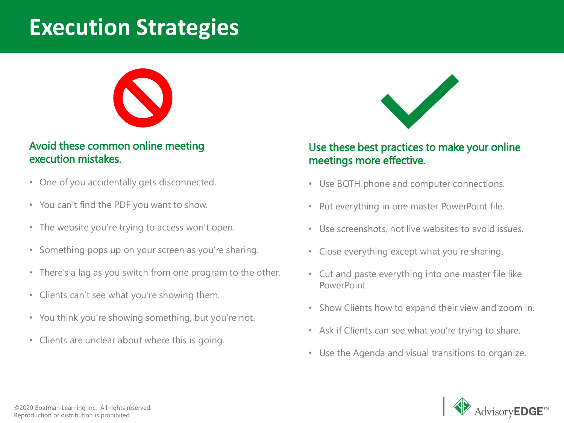### **Execution Strategies**



#### Avoid these common online meeting execution mistakes.

- One of you accidentally gets disconnected.
- You can't find the PDF you want to show.
- The website you're trying to access won't open.
- Something pops up on your screen as you're sharing.
- There's a lag as you switch from one program to the other.
- Clients can't see what you're showing them.
- You think you're showing something, but you're not.
- Clients are unclear about where this is going.



#### Use these best practices to make your online meetings more effective.

- Use BOTH phone and computer connections.
- Put everything in one master PowerPoint file.
- Use screenshots, not live websites to avoid issues.
- Close everything except what you're sharing.
- Cut and paste everything into one master file like PowerPoint.
- Show Clients how to expand their view and zoom in.
- Ask if Clients can see what you're trying to share.
- Use the Agenda and visual transitions to organize.